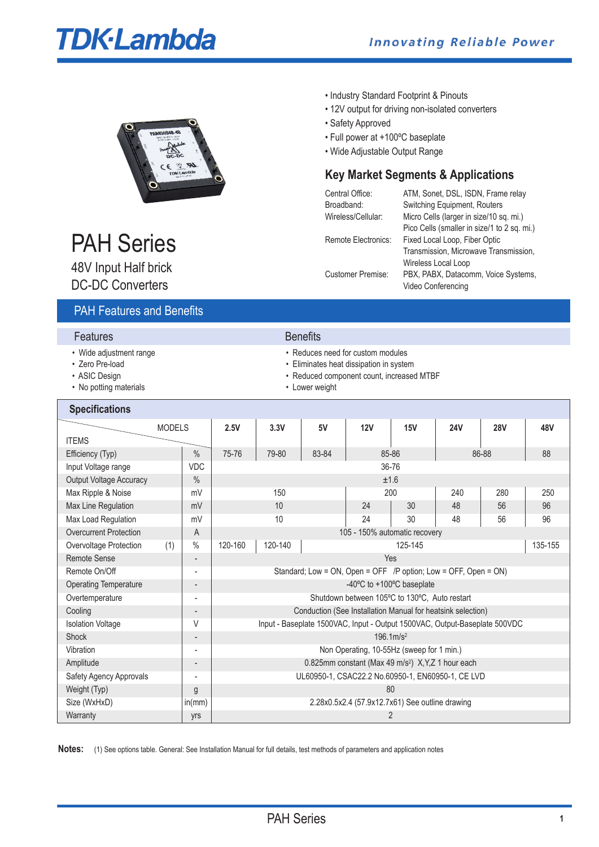# **TDK**-Lambda



#### • Industry Standard Footprint & Pinouts

- 12V output for driving non-isolated converters
- Safety Approved
- Full power at +100ºC baseplate
- Wide Adjustable Output Range

# **Key Market Segments & Applications**

| Central Office:          | ATM, Sonet, DSL, ISDN, Frame relay          |
|--------------------------|---------------------------------------------|
| Broadband:               | Switching Equipment, Routers                |
| Wireless/Cellular:       | Micro Cells (larger in size/10 sq. mi.)     |
|                          | Pico Cells (smaller in size/1 to 2 sq. mi.) |
| Remote Electronics:      | Fixed Local Loop, Fiber Optic               |
|                          | Transmission, Microwave Transmission,       |
|                          | Wireless Local Loop                         |
| <b>Customer Premise:</b> | PBX, PABX, Datacomm, Voice Systems,         |
|                          | Video Conferencing                          |
|                          |                                             |

# PAH Series

48V Input Half brick DC-DC Converters

# PAH Features and Benefits

| Features |  |
|----------|--|
|----------|--|

- 
- 
- 
- No potting materials **•** Lower weight

**Benefits** 

- Wide adjustment range **•** Neduces need for custom modules
- Zero Pre-load **Eliminates heat dissipation in system**
- ASIC Design **ASIC Design ASIC Design** 
	-

| <b>Specifications</b>         |                          |         |         |       |                                                                            |                           |            |            |         |
|-------------------------------|--------------------------|---------|---------|-------|----------------------------------------------------------------------------|---------------------------|------------|------------|---------|
| <b>MODELS</b>                 |                          | 2.5V    | 3.3V    | 5V    | 12V                                                                        | 15V                       | <b>24V</b> | <b>28V</b> | 48V     |
| <b>ITEMS</b>                  |                          |         |         |       |                                                                            |                           |            |            |         |
| Efficiency (Typ)              | $\%$                     | 75-76   | 79-80   | 83-84 |                                                                            | 85-86                     |            | 86-88      | 88      |
| Input Voltage range           | VDC                      |         |         |       |                                                                            | 36-76                     |            |            |         |
| Output Voltage Accuracy       | $\%$                     |         |         |       |                                                                            | ±1.6                      |            |            |         |
| Max Ripple & Noise            | mV                       |         | 150     |       |                                                                            | 200                       | 240        | 280        | 250     |
| Max Line Regulation           | mV                       |         | 10      |       | 24                                                                         | 30                        | 48         | 56         | 96      |
| Max Load Regulation           | mV                       |         | 10      |       | 24                                                                         | 30                        | 48         | 56         | 96      |
| <b>Overcurrent Protection</b> | A                        |         |         |       | 105 - 150% automatic recovery                                              |                           |            |            |         |
| Overvoltage Protection<br>(1) | $\%$                     | 120-160 | 120-140 |       |                                                                            | 125-145                   |            |            | 135-155 |
| <b>Remote Sense</b>           | $\overline{a}$           |         |         |       |                                                                            | Yes                       |            |            |         |
| Remote On/Off                 | $\overline{a}$           |         |         |       | Standard; Low = ON, Open = OFF /P option; Low = OFF, Open = ON)            |                           |            |            |         |
| <b>Operating Temperature</b>  |                          |         |         |       |                                                                            | -40°C to +100°C baseplate |            |            |         |
| Overtemperature               | $\overline{\phantom{a}}$ |         |         |       | Shutdown between 105°C to 130°C, Auto restart                              |                           |            |            |         |
| Cooling                       |                          |         |         |       | Conduction (See Installation Manual for heatsink selection)                |                           |            |            |         |
| <b>Isolation Voltage</b>      | V                        |         |         |       | Input - Baseplate 1500VAC, Input - Output 1500VAC, Output-Baseplate 500VDC |                           |            |            |         |
| <b>Shock</b>                  | -                        |         |         |       |                                                                            | $196.1 \, \text{m/s}^2$   |            |            |         |
| Vibration                     | $\overline{\phantom{a}}$ |         |         |       | Non Operating, 10-55Hz (sweep for 1 min.)                                  |                           |            |            |         |
| Amplitude                     | -                        |         |         |       | 0.825mm constant (Max 49 m/s <sup>2</sup> ) X, Y, Z 1 hour each            |                           |            |            |         |
| Safety Agency Approvals       | $\overline{\phantom{a}}$ |         |         |       | UL60950-1, CSAC22.2 No.60950-1, EN60950-1, CE LVD                          |                           |            |            |         |
| Weight (Typ)                  | g                        |         |         |       |                                                                            | 80                        |            |            |         |
| Size (WxHxD)                  | in(mm)                   |         |         |       | 2.28x0.5x2.4 (57.9x12.7x61) See outline drawing                            |                           |            |            |         |
| Warranty                      | yrs                      |         |         |       |                                                                            | 2                         |            |            |         |

Notes: (1) See options table. General: See Installation Manual for full details, test methods of parameters and application notes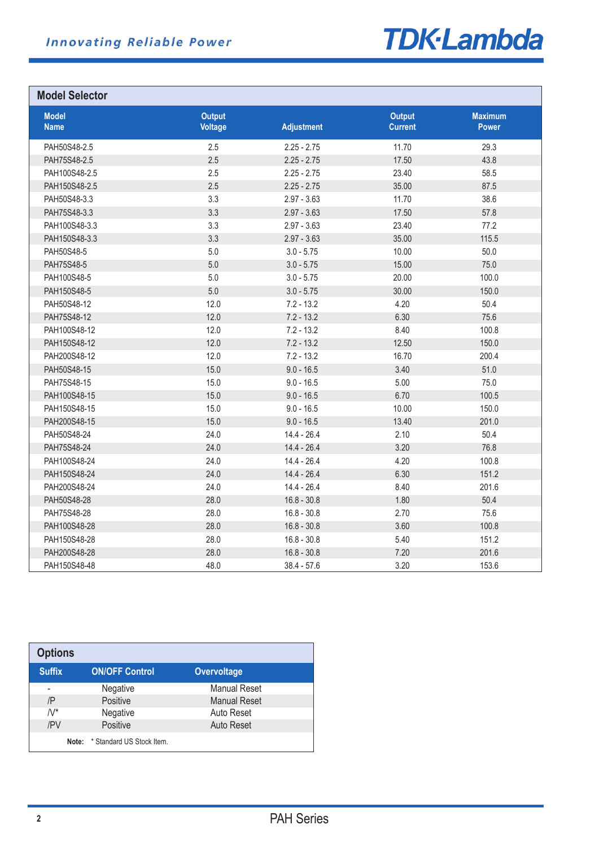

# **Model Selector**

| <b>Model</b><br><b>Name</b> | <b>Output</b><br><b>Voltage</b> | <b>Adjustment</b> | <b>Output</b><br><b>Current</b> | <b>Maximum</b><br><b>Power</b> |
|-----------------------------|---------------------------------|-------------------|---------------------------------|--------------------------------|
| PAH50S48-2.5                | 2.5                             | $2.25 - 2.75$     | 11.70                           | 29.3                           |
| PAH75S48-2.5                | 2.5                             | $2.25 - 2.75$     | 17.50                           | 43.8                           |
| PAH100S48-2.5               | 2.5                             | $2.25 - 2.75$     | 23.40                           | 58.5                           |
| PAH150S48-2.5               | 2.5                             | $2.25 - 2.75$     | 35.00                           | 87.5                           |
| PAH50S48-3.3                | 3.3                             | $2.97 - 3.63$     | 11.70                           | 38.6                           |
| PAH75S48-3.3                | 3.3                             | $2.97 - 3.63$     | 17.50                           | 57.8                           |
| PAH100S48-3.3               | 3.3                             | $2.97 - 3.63$     | 23.40                           | 77.2                           |
| PAH150S48-3.3               | 3.3                             | $2.97 - 3.63$     | 35.00                           | 115.5                          |
| PAH50S48-5                  | 5.0                             | $3.0 - 5.75$      | 10.00                           | 50.0                           |
| PAH75S48-5                  | 5.0                             | $3.0 - 5.75$      | 15.00                           | 75.0                           |
| PAH100S48-5                 | 5.0                             | $3.0 - 5.75$      | 20.00                           | 100.0                          |
| PAH150S48-5                 | 5.0                             | $3.0 - 5.75$      | 30.00                           | 150.0                          |
| PAH50S48-12                 | 12.0                            | $7.2 - 13.2$      | 4.20                            | 50.4                           |
| PAH75S48-12                 | 12.0                            | $7.2 - 13.2$      | 6.30                            | 75.6                           |
| PAH100S48-12                | 12.0                            | $7.2 - 13.2$      | 8.40                            | 100.8                          |
| PAH150S48-12                | 12.0                            | $7.2 - 13.2$      | 12.50                           | 150.0                          |
| PAH200S48-12                | 12.0                            | $7.2 - 13.2$      | 16.70                           | 200.4                          |
| PAH50S48-15                 | 15.0                            | $9.0 - 16.5$      | 3.40                            | 51.0                           |
| PAH75S48-15                 | 15.0                            | $9.0 - 16.5$      | 5.00                            | 75.0                           |
| PAH100S48-15                | 15.0                            | $9.0 - 16.5$      | 6.70                            | 100.5                          |
| PAH150S48-15                | 15.0                            | $9.0 - 16.5$      | 10.00                           | 150.0                          |
| PAH200S48-15                | 15.0                            | $9.0 - 16.5$      | 13.40                           | 201.0                          |
| PAH50S48-24                 | 24.0                            | $14.4 - 26.4$     | 2.10                            | 50.4                           |
| PAH75S48-24                 | 24.0                            | $14.4 - 26.4$     | 3.20                            | 76.8                           |
| PAH100S48-24                | 24.0                            | $14.4 - 26.4$     | 4.20                            | 100.8                          |
| PAH150S48-24                | 24.0                            | $14.4 - 26.4$     | 6.30                            | 151.2                          |
| PAH200S48-24                | 24.0                            | $14.4 - 26.4$     | 8.40                            | 201.6                          |
| PAH50S48-28                 | 28.0                            | $16.8 - 30.8$     | 1.80                            | 50.4                           |
| PAH75S48-28                 | 28.0                            | $16.8 - 30.8$     | 2.70                            | 75.6                           |
| PAH100S48-28                | 28.0                            | $16.8 - 30.8$     | 3.60                            | 100.8                          |
| PAH150S48-28                | 28.0                            | $16.8 - 30.8$     | 5.40                            | 151.2                          |
| PAH200S48-28                | 28.0                            | $16.8 - 30.8$     | 7.20                            | 201.6                          |
| PAH150S48-48                | 48.0                            | $38.4 - 57.6$     | 3.20                            | 153.6                          |

| <b>Options</b> |                           |                     |  |
|----------------|---------------------------|---------------------|--|
| <b>Suffix</b>  | <b>ON/OFF Control</b>     | <b>Overvoltage</b>  |  |
|                | Negative                  | <b>Manual Reset</b> |  |
| /P             | Positive                  | <b>Manual Reset</b> |  |
| $N^*$          | Negative                  | Auto Reset          |  |
| /PV            | Positive                  | Auto Reset          |  |
| Note:          | * Standard US Stock Item. |                     |  |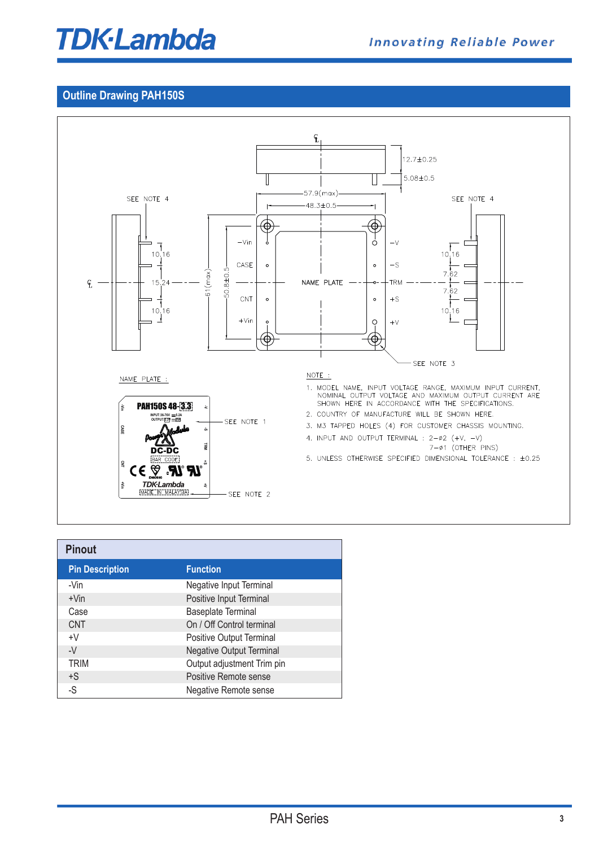# **TDK-Lambda**

### **Outline Drawing PAH150S**



| <b>Pinout</b>          |                                 |
|------------------------|---------------------------------|
| <b>Pin Description</b> | <b>Function</b>                 |
| -Vin                   | Negative Input Terminal         |
| $+V$ in                | Positive Input Terminal         |
| Case                   | <b>Baseplate Terminal</b>       |
| <b>CNT</b>             | On / Off Control terminal       |
| $+V$                   | Positive Output Terminal        |
| $-V$                   | <b>Negative Output Terminal</b> |
| <b>TRIM</b>            | Output adjustment Trim pin      |
| $+S$                   | Positive Remote sense           |
| -S                     | Negative Remote sense           |